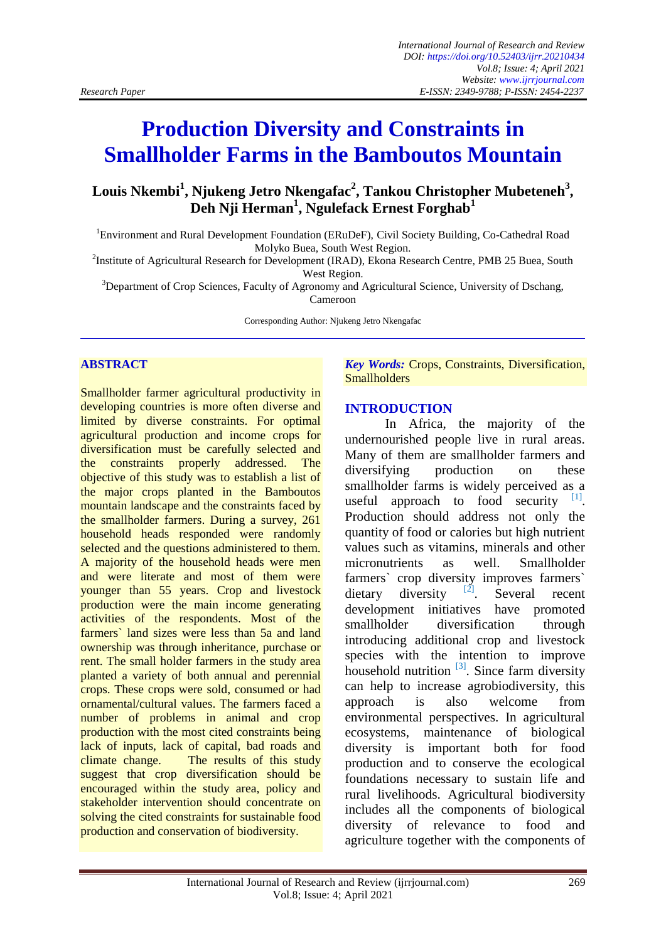# **Production Diversity and Constraints in Smallholder Farms in the Bamboutos Mountain**

**Louis Nkembi<sup>1</sup> , Njukeng Jetro Nkengafac<sup>2</sup> , Tankou Christopher Mubeteneh<sup>3</sup> , Deh Nji Herman<sup>1</sup> , Ngulefack Ernest Forghab<sup>1</sup>**

<sup>1</sup>Environment and Rural Development Foundation (ERuDeF), Civil Society Building, Co-Cathedral Road Molyko Buea, South West Region.

<sup>2</sup>Institute of Agricultural Research for Development (IRAD), Ekona Research Centre, PMB 25 Buea, South West Region.

<sup>3</sup>Department of Crop Sciences, Faculty of Agronomy and Agricultural Science, University of Dschang, Cameroon

Corresponding Author: Njukeng Jetro Nkengafac

#### **ABSTRACT**

Smallholder farmer agricultural productivity in developing countries is more often diverse and limited by diverse constraints. For optimal agricultural production and income crops for diversification must be carefully selected and the constraints properly addressed. The objective of this study was to establish a list of the major crops planted in the Bamboutos mountain landscape and the constraints faced by the smallholder farmers. During a survey, 261 household heads responded were randomly selected and the questions administered to them. A majority of the household heads were men and were literate and most of them were younger than 55 years. Crop and livestock production were the main income generating activities of the respondents. Most of the farmers` land sizes were less than 5a and land ownership was through inheritance, purchase or rent. The small holder farmers in the study area planted a variety of both annual and perennial crops. These crops were sold, consumed or had ornamental/cultural values. The farmers faced a number of problems in animal and crop production with the most cited constraints being lack of inputs, lack of capital, bad roads and climate change. The results of this study suggest that crop diversification should be encouraged within the study area, policy and stakeholder intervention should concentrate on solving the cited constraints for sustainable food production and conservation of biodiversity.

*Key Words:* Crops, Constraints, Diversification, **Smallholders** 

#### **INTRODUCTION**

In Africa, the majority of the undernourished people live in rural areas. Many of them are smallholder farmers and diversifying production on these smallholder farms is widely perceived as a useful approach to food security  $[1]$ . Production should address not only the quantity of food or calories but high nutrient values such as vitamins, minerals and other micronutrients as well. Smallholder farmers` crop diversity improves farmers` dietary diversity  $\frac{[2]}{2}$ . Several recent dietary diversity . Several recent development initiatives have promoted smallholder diversification through introducing additional crop and livestock species with the intention to improve household nutrition  $^{[3]}$  $^{[3]}$  $^{[3]}$ . Since farm diversity can help to increase agrobiodiversity, this approach is also welcome from environmental perspectives. In agricultural ecosystems, maintenance of biological diversity is important both for food production and to conserve the ecological foundations necessary to sustain life and rural livelihoods. Agricultural biodiversity includes all the components of biological diversity of relevance to food and agriculture together with the components of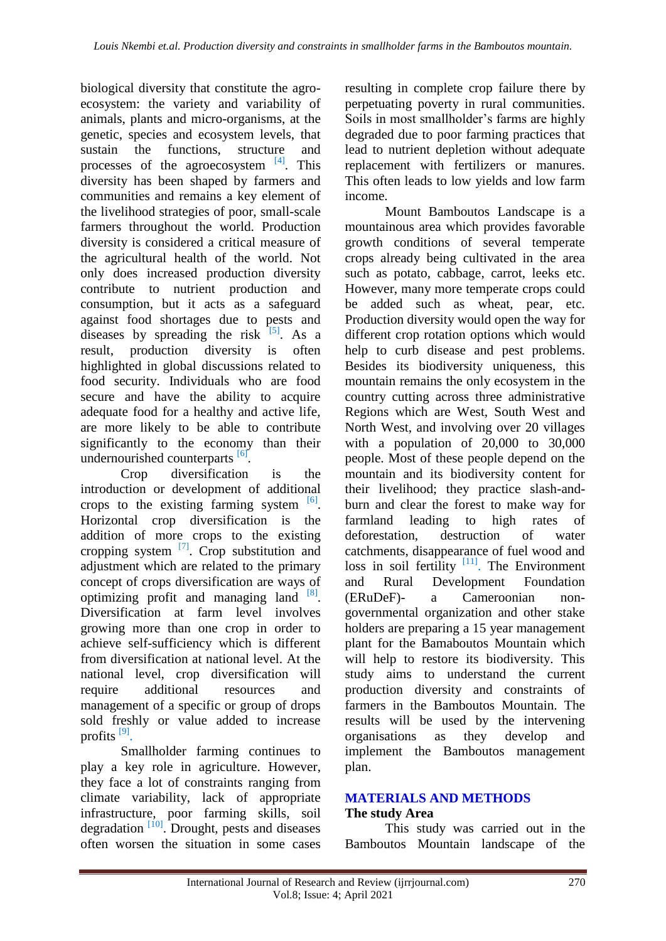biological diversity that constitute the agroecosystem: the variety and variability of animals, plants and micro-organisms, at the genetic, species and ecosystem levels, that sustain the functions, structure and processes of the agroecosystem  $[4]$ . This diversity has been shaped by farmers and communities and remains a key element of the livelihood strategies of poor, small-scale farmers throughout the world. Production diversity is considered a critical measure of the agricultural health of the world. Not only does increased production diversity contribute to nutrient production and consumption, but it acts as a safeguard against food shortages due to pests and diseases by spreading the risk  $[5]$ . As a result, production diversity is often highlighted in global discussions related to food security. Individuals who are food secure and have the ability to acquire adequate food for a healthy and active life, are more likely to be able to contribute significantly to the economy than their undernourished counterparts [\[6\]](#page-7-1).

Crop diversification is the introduction or development of additional crops to the existing farming system  $\begin{bmatrix} 6 \end{bmatrix}$ . Horizontal crop diversification is the addition of more crops to the existing cropping system <sup>[\[7\]](#page-7-2)</sup>. Crop substitution and adjustment which are related to the primary concept of crops diversification are ways of optimizing profit and managing land  $[8]$ . Diversification at farm level involves growing more than one crop in order to achieve self-sufficiency which is different from diversification at national level. At the national level, crop diversification will require additional resources and management of a specific or group of drops sold freshly or value added to increase profits<sup>[\[9\]](#page-7-4)</sup>.

Smallholder farming continues to play a key role in agriculture. However, they face a lot of constraints ranging from climate variability, lack of appropriate infrastructure, poor farming skills, soil degradation  $\left[10\right]$ . Drought, pests and diseases often worsen the situation in some cases

resulting in complete crop failure there by perpetuating poverty in rural communities. Soils in most smallholder's farms are highly degraded due to poor farming practices that lead to nutrient depletion without adequate replacement with fertilizers or manures. This often leads to low yields and low farm income.

Mount Bamboutos Landscape is a mountainous area which provides favorable growth conditions of several temperate crops already being cultivated in the area such as potato, cabbage, carrot, leeks etc. However, many more temperate crops could be added such as wheat, pear, etc. Production diversity would open the way for different crop rotation options which would help to curb disease and pest problems. Besides its biodiversity uniqueness, this mountain remains the only ecosystem in the country cutting across three administrative Regions which are West, South West and North West, and involving over 20 villages with a population of 20,000 to 30,000 people. Most of these people depend on the mountain and its biodiversity content for their livelihood; they practice slash-andburn and clear the forest to make way for farmland leading to high rates of deforestation, destruction of water catchments, disappearance of fuel wood and loss in soil fertility  $[11]$ . The Environment and Rural Development Foundation (ERuDeF)- a Cameroonian nongovernmental organization and other stake holders are preparing a 15 year management plant for the Bamaboutos Mountain which will help to restore its biodiversity. This study aims to understand the current production diversity and constraints of farmers in the Bamboutos Mountain. The results will be used by the intervening organisations as they develop and implement the Bamboutos management plan.

## **MATERIALS AND METHODS The study Area**

This study was carried out in the Bamboutos Mountain landscape of the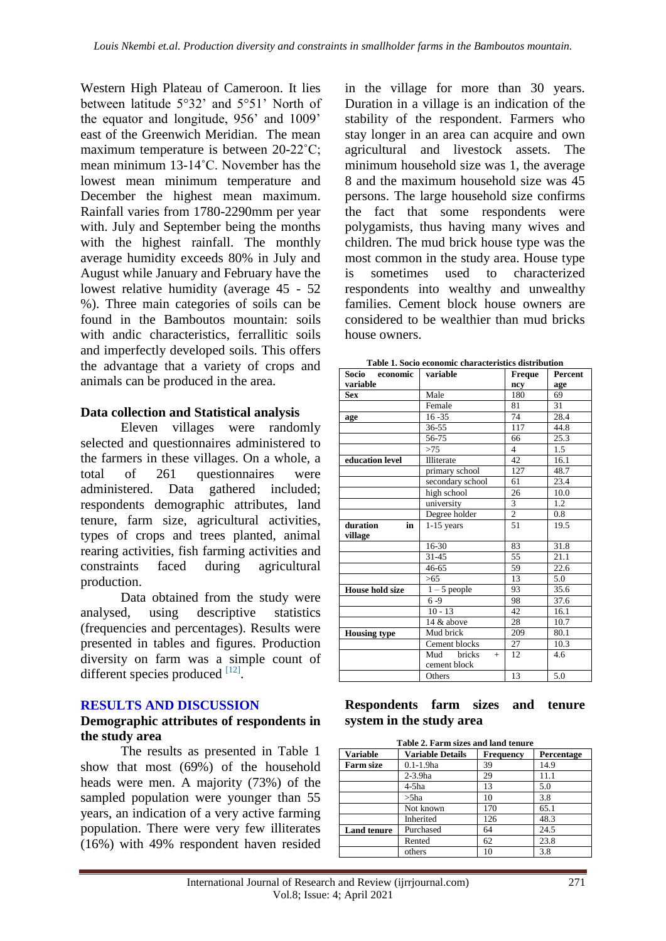Western High Plateau of Cameroon. It lies between latitude 5°32' and 5°51' North of the equator and longitude, 956' and 1009' east of the Greenwich Meridian. The mean maximum temperature is between 20-22˚C; mean minimum 13-14˚C. November has the lowest mean minimum temperature and December the highest mean maximum. Rainfall varies from 1780-2290mm per year with. July and September being the months with the highest rainfall. The monthly average humidity exceeds 80% in July and August while January and February have the lowest relative humidity (average 45 - 52 %). Three main categories of soils can be found in the Bamboutos mountain: soils with andic characteristics, ferrallitic soils and imperfectly developed soils. This offers the advantage that a variety of crops and animals can be produced in the area.

### **Data collection and Statistical analysis**

Eleven villages were randomly selected and questionnaires administered to the farmers in these villages. On a whole, a total of 261 questionnaires were administered. Data gathered included; respondents demographic attributes, land tenure, farm size, agricultural activities, types of crops and trees planted, animal rearing activities, fish farming activities and constraints faced during agricultural production.

Data obtained from the study were analysed, using descriptive statistics (frequencies and percentages). Results were presented in tables and figures. Production diversity on farm was a simple count of different species produced [\[12\]](#page-7-7).

#### **RESULTS AND DISCUSSION**

#### **Demographic attributes of respondents in the study area**

The results as presented in Table 1 show that most (69%) of the household heads were men. A majority (73%) of the sampled population were younger than 55 years, an indication of a very active farming population. There were very few illiterates (16%) with 49% respondent haven resided

in the village for more than 30 years. Duration in a village is an indication of the stability of the respondent. Farmers who stay longer in an area can acquire and own agricultural and livestock assets. The minimum household size was 1, the average 8 and the maximum household size was 45 persons. The large household size confirms the fact that some respondents were polygamists, thus having many wives and children. The mud brick house type was the most common in the study area. House type sometimes used to characterized respondents into wealthy and unwealthy families. Cement block house owners are considered to be wealthier than mud bricks house owners.

| Table 1. Socio economic characteristics distribution |  |
|------------------------------------------------------|--|
|------------------------------------------------------|--|

| Socio economic         | variable             | <b>Freque</b>  | <b>Percent</b> |
|------------------------|----------------------|----------------|----------------|
| variable               |                      | ncy            | age            |
| <b>Sex</b>             | Male                 | 180            | 69             |
|                        | Female               | 81             | 31             |
| age                    | $16 - 35$            | 74             | 28.4           |
|                        | 36-55                | 117            | 44.8           |
|                        | 56-75                | 66             | 25.3           |
|                        | >75                  | $\overline{4}$ | 1.5            |
| education level        | Illiterate           | 42             | 16.1           |
|                        | primary school       | 127            | 48.7           |
|                        | secondary school     | 61             | 23.4           |
|                        | high school          | 26             | 10.0           |
|                        | university           | 3              | 1.2            |
|                        | Degree holder        | $\overline{2}$ | 0.8            |
| duration<br>in         | $1-15$ years         | 51             | 19.5           |
| village                |                      |                |                |
|                        | 16-30                | 83             | 31.8           |
|                        | $31 - 45$            | 55             | 21.1           |
|                        | 46-65                | 59             | 22.6           |
|                        | >65                  | 13             | 5.0            |
| <b>House hold size</b> | $1 - 5$ people       | 93             | 35.6           |
|                        | $6 - 9$              | 98             | 37.6           |
|                        | $10 - 13$            | 42             | 16.1           |
|                        | 14 & above           | 28             | 10.7           |
| <b>Housing type</b>    | Mud brick            | 209            | 80.1           |
|                        | Cement blocks        | 27             | 10.3           |
|                        | bricks<br>Mud<br>$+$ | 12             | 4.6            |
|                        | cement block         |                |                |
|                        | Others               | 13             | 5.0            |

### **Respondents farm sizes and tenure system in the study area**

| Table 2. Farm sizes and land tenure |                                                           |     |      |  |
|-------------------------------------|-----------------------------------------------------------|-----|------|--|
| <b>Variable</b>                     | <b>Variable Details</b><br><b>Frequency</b><br>Percentage |     |      |  |
| <b>Farm size</b>                    | $0.1 - 1.9$ ha                                            | 39  | 14.9 |  |
|                                     | $2-3.9$ ha                                                | 29  | 11.1 |  |
|                                     | 4-5ha                                                     | 13  | 5.0  |  |
|                                     | $>$ 5ha                                                   | 10  | 3.8  |  |
|                                     | Not known                                                 | 170 | 65.1 |  |
|                                     | Inherited                                                 | 126 | 48.3 |  |
| <b>Land tenure</b>                  | Purchased                                                 | 64  | 24.5 |  |
|                                     | Rented                                                    | 62  | 23.8 |  |
|                                     | others                                                    | 10  | 3.8  |  |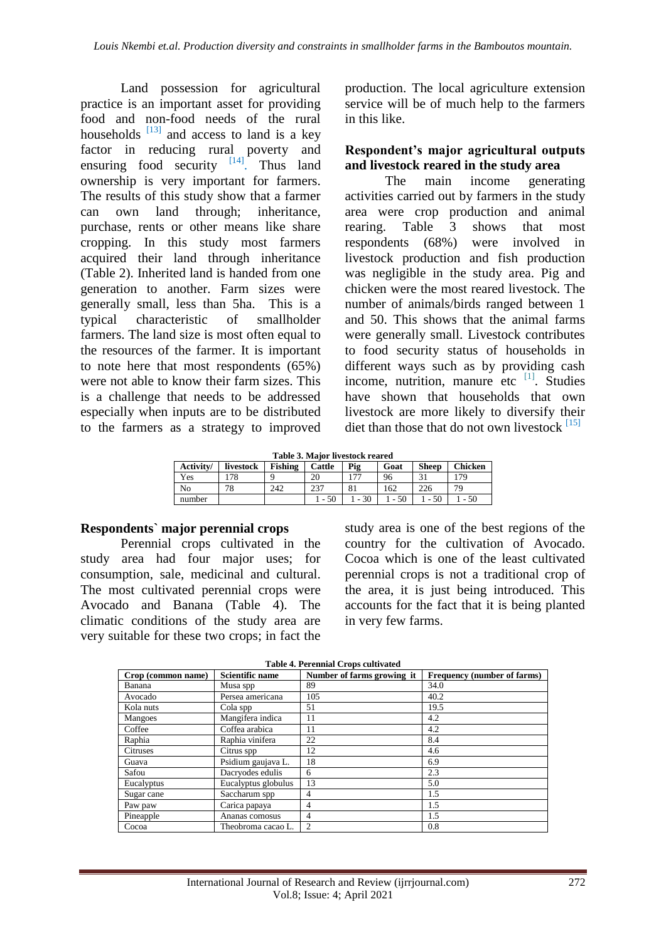Land possession for agricultural practice is an important asset for providing food and non-food needs of the rural households  $\frac{[13]}{[13]}$  $\frac{[13]}{[13]}$  $\frac{[13]}{[13]}$  and access to land is a key factor in reducing rural poverty and ensuring food security  $[14]$ . Thus land ownership is very important for farmers. The results of this study show that a farmer can own land through; inheritance, purchase, rents or other means like share cropping. In this study most farmers acquired their land through inheritance (Table 2). Inherited land is handed from one generation to another. Farm sizes were generally small, less than 5ha. This is a typical characteristic of smallholder farmers. The land size is most often equal to the resources of the farmer. It is important to note here that most respondents (65%) were not able to know their farm sizes. This is a challenge that needs to be addressed especially when inputs are to be distributed to the farmers as a strategy to improved production. The local agriculture extension service will be of much help to the farmers in this like.

### **Respondent's major agricultural outputs and livestock reared in the study area**

The main income generating activities carried out by farmers in the study area were crop production and animal rearing. Table 3 shows that most respondents (68%) were involved in livestock production and fish production was negligible in the study area. Pig and chicken were the most reared livestock. The number of animals/birds ranged between 1 and 50. This shows that the animal farms were generally small. Livestock contributes to food security status of households in different ways such as by providing cash income, nutrition, manure etc [\[1\]](#page-6-0). Studies have shown that households that own livestock are more likely to diversify their diet than those that do not own livestock  $^{[15]}$  $^{[15]}$  $^{[15]}$ 

|  | Table 3. Major livestock reared |  |
|--|---------------------------------|--|
|  |                                 |  |

| Activity/ | livestock | <b>Fishing</b> | Cattle | Pig                      | Goat | <b>Sheep</b> | <b>Chicken</b> |
|-----------|-----------|----------------|--------|--------------------------|------|--------------|----------------|
| Yes       | .78       |                | 20     | $\overline{\phantom{a}}$ | 96   |              | .79            |
| No        | 78        | 242            | 237    | 81                       | 162  | 226          | 70             |
| number    |           |                |        | 30                       | 50   | 50           | - 50           |

#### **Respondents` major perennial crops**

Perennial crops cultivated in the study area had four major uses; for consumption, sale, medicinal and cultural. The most cultivated perennial crops were Avocado and Banana (Table 4). The climatic conditions of the study area are very suitable for these two crops; in fact the study area is one of the best regions of the country for the cultivation of Avocado. Cocoa which is one of the least cultivated perennial crops is not a traditional crop of the area, it is just being introduced. This accounts for the fact that it is being planted in very few farms.

**Table 4. Perennial Crops cultivated**

| Crop (common name) | <b>Scientific name</b> | Number of farms growing it | Frequency (number of farms) |
|--------------------|------------------------|----------------------------|-----------------------------|
| Banana             | Musa spp               | 89                         | 34.0                        |
| Avocado            | Persea americana       | 105                        | 40.2                        |
| Kola nuts          | Cola spp               | 51                         | 19.5                        |
| Mangoes            | Mangifera indica       | 11                         | 4.2                         |
| Coffee             | Coffea arabica         | 11                         | 4.2                         |
| Raphia             | Raphia vinifera        | 22                         | 8.4                         |
| Citruses           | Citrus spp             | 12                         | 4.6                         |
| Guava              | Psidium gaujava L.     | 18                         | 6.9                         |
| Safou              | Dacryodes edulis       | 6                          | 2.3                         |
| Eucalyptus         | Eucalyptus globulus    | 13                         | 5.0                         |
| Sugar cane         | Saccharum spp          | 4                          | 1.5                         |
| Paw paw            | Carica papaya          | 4                          | 1.5                         |
| Pineapple          | Ananas comosus         | 4                          | 1.5                         |
| Cocoa              | Theobroma cacao L.     | $\overline{c}$             | 0.8                         |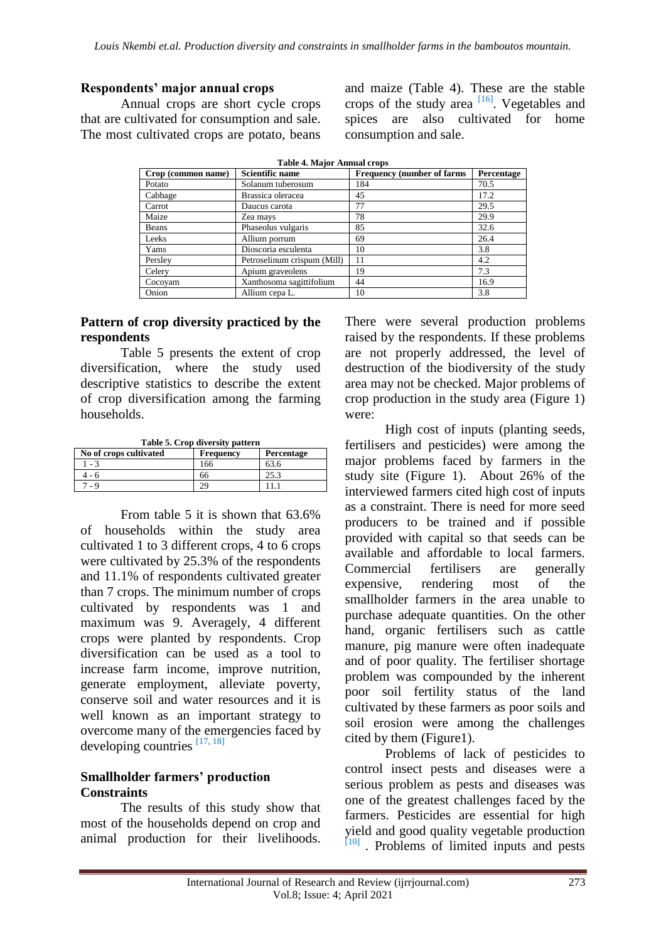## **Respondents' major annual crops**

Annual crops are short cycle crops that are cultivated for consumption and sale. The most cultivated crops are potato, beans and maize (Table 4). These are the stable crops of the study area <sup>[\[16\]](#page-7-11)</sup>. Vegetables and spices are also cultivated for home consumption and sale.

| <b>Table 4. Major Annual crops</b> |                             |                                    |            |  |
|------------------------------------|-----------------------------|------------------------------------|------------|--|
| Crop (common name)                 | <b>Scientific name</b>      | <b>Frequency (number of farms)</b> | Percentage |  |
| Potato                             | Solanum tuberosum           | 184                                | 70.5       |  |
| Cabbage                            | Brassica oleracea           | 45                                 | 17.2       |  |
| Carrot                             | Daucus carota               | 77                                 | 29.5       |  |
| Maize                              | Zea mays                    | 78                                 | 29.9       |  |
| Beans                              | Phaseolus vulgaris          | 85                                 | 32.6       |  |
| Leeks                              | Allium porrum               | 69                                 | 26.4       |  |
| Yams                               | Dioscoria esculenta         | 10                                 | 3.8        |  |
| Persley                            | Petroselinum crispum (Mill) | 11                                 | 4.2        |  |
| Celery                             | Apium graveolens            | 19                                 | 7.3        |  |
| Cocoyam                            | Xanthosoma sagittifolium    | 44                                 | 16.9       |  |
| Onion                              | Allium cepa L.              | 10                                 | 3.8        |  |

### **Pattern of crop diversity practiced by the respondents**

Table 5 presents the extent of crop diversification, where the study used descriptive statistics to describe the extent of crop diversification among the farming households.

**Table 5. Crop diversity pattern**

| No of crops cultivated | <b>Frequency</b> | Percentage |
|------------------------|------------------|------------|
| $-3$                   | 166              | 63.6       |
| - 6                    | იი               | 25.3       |
| - 9                    | 29               |            |

From table 5 it is shown that 63.6% of households within the study area cultivated 1 to 3 different crops, 4 to 6 crops were cultivated by 25.3% of the respondents and 11.1% of respondents cultivated greater than 7 crops. The minimum number of crops cultivated by respondents was 1 and maximum was 9. Averagely, 4 different crops were planted by respondents. Crop diversification can be used as a tool to increase farm income, improve nutrition, generate employment, alleviate poverty, conserve soil and water resources and it is well known as an important strategy to overcome many of the emergencies faced by developing countries [\[17,](#page-7-12) [18\]](#page-7-13)

## **Smallholder farmers' production Constraints**

The results of this study show that most of the households depend on crop and animal production for their livelihoods. There were several production problems raised by the respondents. If these problems are not properly addressed, the level of destruction of the biodiversity of the study area may not be checked. Major problems of crop production in the study area (Figure 1) were:

High cost of inputs (planting seeds, fertilisers and pesticides) were among the major problems faced by farmers in the study site (Figure 1). About 26% of the interviewed farmers cited high cost of inputs as a constraint. There is need for more seed producers to be trained and if possible provided with capital so that seeds can be available and affordable to local farmers. Commercial fertilisers are generally expensive, rendering most of the smallholder farmers in the area unable to purchase adequate quantities. On the other hand, organic fertilisers such as cattle manure, pig manure were often inadequate and of poor quality. The fertiliser shortage problem was compounded by the inherent poor soil fertility status of the land cultivated by these farmers as poor soils and soil erosion were among the challenges cited by them (Figure1).

Problems of lack of pesticides to control insect pests and diseases were a serious problem as pests and diseases was one of the greatest challenges faced by the farmers. Pesticides are essential for high yield and good quality vegetable production [\[10\]](#page-7-5) Problems of limited inputs and pests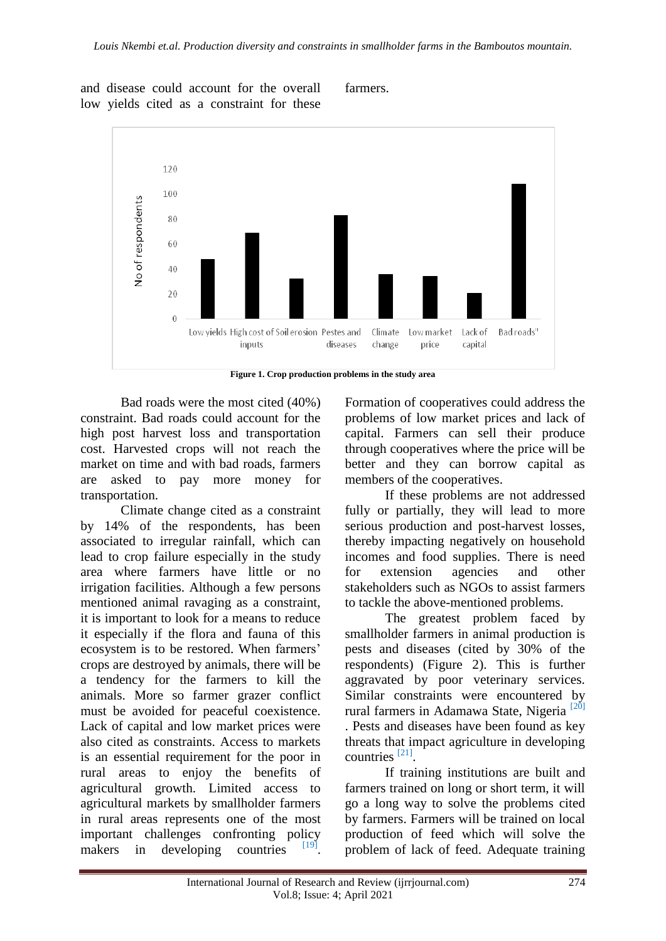and disease could account for the overall low yields cited as a constraint for these farmers.



**Figure 1. Crop production problems in the study area**

Bad roads were the most cited (40%) constraint. Bad roads could account for the high post harvest loss and transportation cost. Harvested crops will not reach the market on time and with bad roads, farmers are asked to pay more money for transportation.

Climate change cited as a constraint by 14% of the respondents, has been associated to irregular rainfall, which can lead to crop failure especially in the study area where farmers have little or no irrigation facilities. Although a few persons mentioned animal ravaging as a constraint, it is important to look for a means to reduce it especially if the flora and fauna of this ecosystem is to be restored. When farmers' crops are destroyed by animals, there will be a tendency for the farmers to kill the animals. More so farmer grazer conflict must be avoided for peaceful coexistence. Lack of capital and low market prices were also cited as constraints. Access to markets is an essential requirement for the poor in rural areas to enjoy the benefits of agricultural growth. Limited access to agricultural markets by smallholder farmers in rural areas represents one of the most important challenges confronting policy makers in developing countries . Formation of cooperatives could address the problems of low market prices and lack of capital. Farmers can sell their produce through cooperatives where the price will be better and they can borrow capital as members of the cooperatives.

If these problems are not addressed fully or partially, they will lead to more serious production and post-harvest losses, thereby impacting negatively on household incomes and food supplies. There is need for extension agencies and other stakeholders such as NGOs to assist farmers to tackle the above-mentioned problems.

The greatest problem faced by smallholder farmers in animal production is pests and diseases (cited by 30% of the respondents) (Figure 2). This is further aggravated by poor veterinary services. Similar constraints were encountered by rural farmers in Adamawa State, Nigeria<sup>[\[20\]](#page-8-0)</sup> . Pests and diseases have been found as key threats that impact agriculture in developing countries<sup>[\[21\]](#page-8-1)</sup>.

If training institutions are built and farmers trained on long or short term, it will go a long way to solve the problems cited by farmers. Farmers will be trained on local production of feed which will solve the problem of lack of feed. Adequate training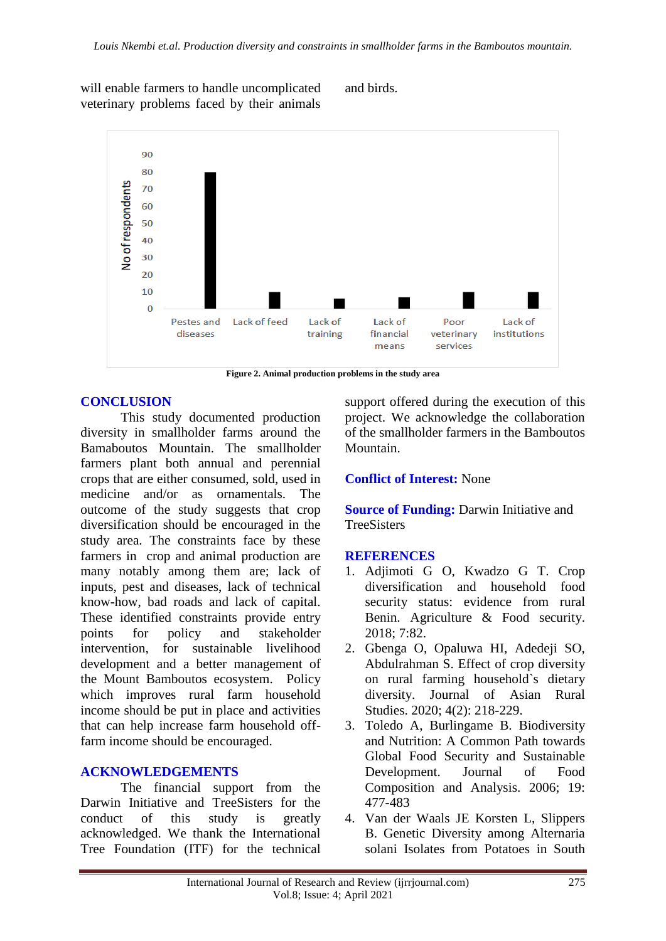will enable farmers to handle uncomplicated veterinary problems faced by their animals and birds.



**Figure 2. Animal production problems in the study area**

## **CONCLUSION**

This study documented production diversity in smallholder farms around the Bamaboutos Mountain. The smallholder farmers plant both annual and perennial crops that are either consumed, sold, used in medicine and/or as ornamentals. The outcome of the study suggests that crop diversification should be encouraged in the study area. The constraints face by these farmers in crop and animal production are many notably among them are; lack of inputs, pest and diseases, lack of technical know-how, bad roads and lack of capital. These identified constraints provide entry points for policy and stakeholder intervention, for sustainable livelihood development and a better management of the Mount Bamboutos ecosystem. Policy which improves rural farm household income should be put in place and activities that can help increase farm household offfarm income should be encouraged.

## **ACKNOWLEDGEMENTS**

The financial support from the Darwin Initiative and TreeSisters for the conduct of this study is greatly acknowledged. We thank the International Tree Foundation (ITF) for the technical

support offered during the execution of this project. We acknowledge the collaboration of the smallholder farmers in the Bamboutos Mountain.

## **Conflict of Interest:** None

**Source of Funding: Darwin Initiative and TreeSisters** 

## **REFERENCES**

- <span id="page-6-0"></span>1. Adjimoti G O, Kwadzo G T. Crop diversification and household food security status: evidence from rural Benin. Agriculture & Food security. 2018; 7:82.
- <span id="page-6-1"></span>2. Gbenga O, Opaluwa HI, Adedeji SO, Abdulrahman S. Effect of crop diversity on rural farming household`s dietary diversity. Journal of Asian Rural Studies. 2020; 4(2): 218-229.
- <span id="page-6-2"></span>3. Toledo A, Burlingame B. Biodiversity and Nutrition: A Common Path towards Global Food Security and Sustainable Development. Journal of Food Composition and Analysis. 2006; 19: 477-483
- <span id="page-6-3"></span>4. Van der Waals JE Korsten L, Slippers B. Genetic Diversity among Alternaria solani Isolates from Potatoes in South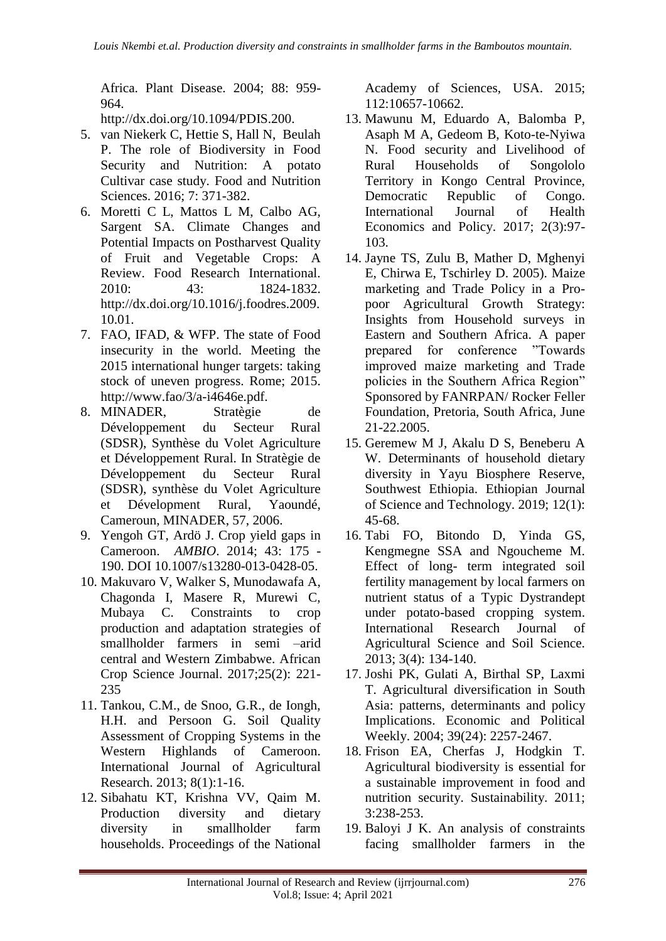Africa. Plant Disease. 2004; 88: 959- 964.

[http://dx.doi.org/10.1094/PDIS.200.](http://dx.doi.org/10.1094/PDIS.200)

- <span id="page-7-0"></span>5. van Niekerk C, Hettie S, Hall N, Beulah P. The role of Biodiversity in Food Security and Nutrition: A potato Cultivar case study. Food and Nutrition Sciences. 2016; 7: 371-382.
- <span id="page-7-1"></span>6. Moretti C L, Mattos L M, Calbo AG, Sargent SA. Climate Changes and Potential Impacts on Postharvest Quality of Fruit and Vegetable Crops: A Review. Food Research International. 2010: 43: 1824-1832. [http://dx.doi.org/10.1016/j.foodres.2009.](http://dx.doi.org/10.1016/j.foodres.2009.10.01) [10.01.](http://dx.doi.org/10.1016/j.foodres.2009.10.01)
- <span id="page-7-2"></span>7. FAO, IFAD, & WFP. The state of Food insecurity in the world. Meeting the 2015 international hunger targets: taking stock of uneven progress. Rome; 2015. [http://www.fao/3/a-i4646e.pdf.](http://www.fao/3/a-i4646e.pdf)
- <span id="page-7-3"></span>8. MINADER, Stratègie de Développement du Secteur Rural (SDSR), Synthèse du Volet Agriculture et Développement Rural. In Stratègie de Développement du Secteur Rural (SDSR), synthèse du Volet Agriculture et Dévelopment Rural, Yaoundé, Cameroun, MINADER, 57, 2006.
- <span id="page-7-4"></span>9. Yengoh GT, Ardö J. Crop yield gaps in Cameroon. *AMBIO*. 2014; 43: 175 - 190. DOI 10.1007/s13280-013-0428-05.
- <span id="page-7-5"></span>10. Makuvaro V, Walker S, Munodawafa A, Chagonda I, Masere R, Murewi C, Mubaya C. Constraints to crop production and adaptation strategies of smallholder farmers in semi –arid central and Western Zimbabwe. African Crop Science Journal. 2017;25(2): 221- 235
- <span id="page-7-6"></span>11. Tankou, C.M., de Snoo, G.R., de Iongh, H.H. and Persoon G. Soil Quality Assessment of Cropping Systems in the Western Highlands of Cameroon. [International Journal of Agricultural](https://scialert.net/jhome.php?issn=1816-4897)  [Research.](https://scialert.net/jhome.php?issn=1816-4897) 2013; 8(1):1-16.
- <span id="page-7-7"></span>12. Sibahatu KT, Krishna VV, Qaim M. Production diversity and dietary diversity in smallholder farm households. Proceedings of the National

Academy of Sciences, USA. 2015; 112:10657-10662.

- <span id="page-7-8"></span>13. Mawunu M, Eduardo A, Balomba P, Asaph M A, Gedeom B, Koto-te-Nyiwa N. Food security and Livelihood of Rural Households of Songololo Territory in Kongo Central Province, Democratic Republic of Congo. International Journal of Health Economics and Policy. 2017; 2(3):97- 103.
- <span id="page-7-9"></span>14. Jayne TS, Zulu B, Mather D, Mghenyi E, Chirwa E, Tschirley D. 2005). Maize marketing and Trade Policy in a Propoor Agricultural Growth Strategy: Insights from Household surveys in Eastern and Southern Africa. A paper prepared for conference "Towards improved maize marketing and Trade policies in the Southern Africa Region" Sponsored by FANRPAN/ Rocker Feller Foundation, Pretoria, South Africa, June 21-22.2005.
- <span id="page-7-10"></span>15. Geremew M J, Akalu D S, Beneberu A W. Determinants of household dietary diversity in Yayu Biosphere Reserve, Southwest Ethiopia. Ethiopian Journal of Science and Technology. 2019; 12(1): 45-68.
- <span id="page-7-11"></span>16. Tabi FO, Bitondo D, Yinda GS, Kengmegne SSA and Ngoucheme M. Effect of long- term integrated soil fertility management by local farmers on nutrient status of a Typic Dystrandept under potato-based cropping system. International Research Journal of Agricultural Science and Soil Science. 2013; 3(4): 134-140.
- <span id="page-7-12"></span>17. Joshi PK, Gulati A, Birthal SP, Laxmi T. Agricultural diversification in South Asia: patterns, determinants and policy Implications. Economic and Political Weekly. 2004; 39(24): 2257-2467.
- <span id="page-7-13"></span>18. Frison EA, Cherfas J, Hodgkin T. Agricultural biodiversity is essential for a sustainable improvement in food and nutrition security. Sustainability. 2011; 3:238-253.
- <span id="page-7-14"></span>19. Baloyi J K. An analysis of constraints facing smallholder farmers in the